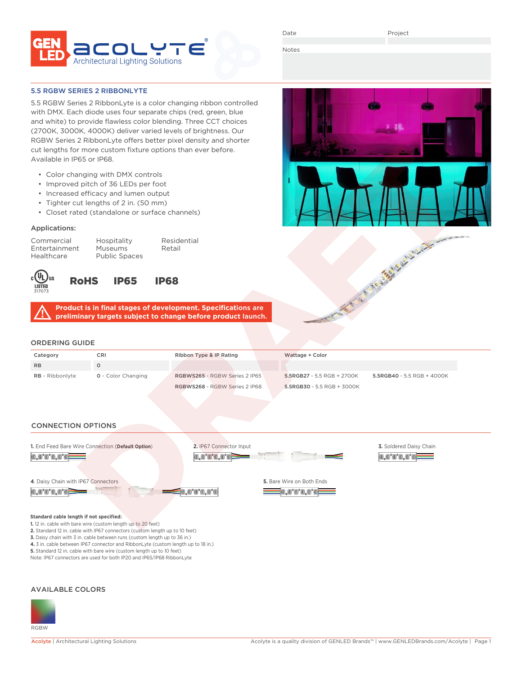

Date

A ANTI THE WASHINGTON OF THE WAY

**io.o"o"o.o"o** 

**Contract State** 

Notes

#### 5.5 RGBW SERIES 2 RIBBONLYTE

5.5 RGBW Series 2 RibbonLyte is a color changing ribbon controlled with DMX. Each diode uses four separate chips (red, green, blue and white) to provide flawless color blending. Three CCT choices (2700K, 3000K, 4000K) deliver varied levels of brightness. Our RGBW Series 2 RibbonLyte offers better pixel density and shorter cut lengths for more custom fixture options than ever before. Available in IP65 or IP68.

- Color changing with DMX controls
- Improved pitch of 36 LEDs per foot
- Increased efficacy and lumen output
- Tighter cut lengths of 2 in. (50 mm)
- Closet rated (standalone or surface channels)

### Applications:

Healthcare Public Spaces

Commercial Hospitality Residential Entertainment Museums Retail



RoHS IP65 IP68



# ORDERING GUIDE

| Category               | CRI                       | Ribbon Type & IP Rating       | Wattage + Color                                          |  |  |  |  |
|------------------------|---------------------------|-------------------------------|----------------------------------------------------------|--|--|--|--|
| <b>RB</b>              |                           |                               |                                                          |  |  |  |  |
| <b>RB</b> - Ribbonlyte | <b>0</b> - Color Changing | RGBWS265 - RGBW Series 2 IP65 | 5.5RGB27 - 5.5 RGB + 2700K<br>5.5RGB40 - 5.5 RGB + 4000K |  |  |  |  |
|                        |                           | RGBWS268 - RGBW Series 2 IP68 | 5.5RGB30 - 5.5 RGB + 3000K                               |  |  |  |  |
|                        |                           |                               |                                                          |  |  |  |  |

# CONNECTION OPTIONS **2.** IP67 Connector Input **1.** End Feed Bare Wire Connection (**Default Option**) **3.** Soldered Daisy Chain <u>io,o'o'o,o'of</u> 0.0'0'0.0'0= **4**. Daisy Chain with IP67 Connectors **5.** Bare Wire on Both Ends 0.0'0'0.0'0F 0.0°0°0.0°



**Standard cable length if not specified:**

- **1.** 12 in. cable with bare wire (custom length up to 20 feet)
- **2.** Standard 12 in. cable with IP67 connectors (custom length up to 10 feet)
- **3.** Daisy chain with 3 in. cable between runs (custom length up to 36 in.) **4.** 3 in. cable between IP67 connector and RibbonLyte (custom length up to 18 in.)
- **5.** Standard 12 in. cable with bare wire (custom length up to 10 feet)
- Note: IP67 connectors are used for both IP20 and IP65/IP68 RibbonLyte

#### AVAILABLE COLORS

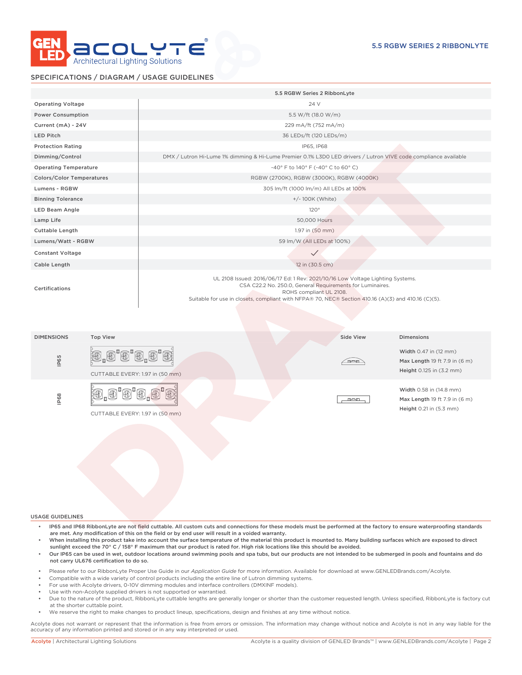

### SPECIFICATIONS / DIAGRAM / USAGE GUIDELINES

|                                      | 5.5 RGBW Series 2 RibbonLyte                                                                                                                                                                                                                                                  |  |  |  |  |  |  |
|--------------------------------------|-------------------------------------------------------------------------------------------------------------------------------------------------------------------------------------------------------------------------------------------------------------------------------|--|--|--|--|--|--|
| <b>Operating Voltage</b>             | 24 V                                                                                                                                                                                                                                                                          |  |  |  |  |  |  |
| <b>Power Consumption</b>             | 5.5 W/ft (18.0 W/m)                                                                                                                                                                                                                                                           |  |  |  |  |  |  |
| Current (mA) - 24V                   | 229 mA/ft (752 mA/m)                                                                                                                                                                                                                                                          |  |  |  |  |  |  |
| LED Pitch                            | 36 LEDs/ft (120 LEDs/m)                                                                                                                                                                                                                                                       |  |  |  |  |  |  |
| <b>Protection Rating</b>             | IP65, IP68                                                                                                                                                                                                                                                                    |  |  |  |  |  |  |
| Dimming/Control                      | DMX / Lutron Hi-Lume 1% dimming & Hi-Lume Premier 0.1% L3D0 LED drivers / Lutron VIVE code compliance available                                                                                                                                                               |  |  |  |  |  |  |
| <b>Operating Temperature</b>         | -40° F to 140° F (-40° C to 60° C)                                                                                                                                                                                                                                            |  |  |  |  |  |  |
| <b>Colors/Color Temperatures</b>     | RGBW (2700K), RGBW (3000K), RGBW (4000K)                                                                                                                                                                                                                                      |  |  |  |  |  |  |
| Lumens - RGBW                        | 305 lm/ft (1000 lm/m) All LEDs at 100%                                                                                                                                                                                                                                        |  |  |  |  |  |  |
| <b>Binning Tolerance</b>             | +/- 100K (White)                                                                                                                                                                                                                                                              |  |  |  |  |  |  |
| <b>LED Beam Angle</b>                | 120°                                                                                                                                                                                                                                                                          |  |  |  |  |  |  |
| Lamp Life                            | 50,000 Hours                                                                                                                                                                                                                                                                  |  |  |  |  |  |  |
| Cuttable Length                      | 1.97 in (50 mm)                                                                                                                                                                                                                                                               |  |  |  |  |  |  |
| Lumens/Watt - RGBW                   | 59 lm/W (All LEDs at 100%)                                                                                                                                                                                                                                                    |  |  |  |  |  |  |
| <b>Constant Voltage</b>              | $\checkmark$                                                                                                                                                                                                                                                                  |  |  |  |  |  |  |
| Cable Length                         | 12 in (30.5 cm)                                                                                                                                                                                                                                                               |  |  |  |  |  |  |
| Certifications                       | UL 2108 Issued: 2016/06/17 Ed: 1 Rev: 2021/10/16 Low Voltage Lighting Systems.<br>CSA C22.2 No. 250.0, General Requirements for Luminaires.<br>ROHS compliant UL 2108.<br>Suitable for use in closets, compliant with NFPA® 70, NEC® Section 410.16 (A)(3) and 410.16 (C)(5). |  |  |  |  |  |  |
| <b>Top View</b><br><b>DIMENSIONS</b> | Side View<br><b>Dimensions</b>                                                                                                                                                                                                                                                |  |  |  |  |  |  |
| 迎<br>IP65                            | Width 0.47 in (12 mm)<br>'O'O,O'O}<br>Max Length 19 ft 7.9 in (6 m)<br><u>in-an</u><br>Height 0.125 in (3.2 mm)<br>CUTTABLE EVERY: 1.97 in (50 mm)                                                                                                                            |  |  |  |  |  |  |
| IP68                                 | Width 0.58 in (14.8 mm)<br>Max Length 19 ft 7.9 in (6 m)<br>metern.<br>Height 0.21 in (5.3 mm)<br>CUTTABLE EVERY: 1.97 in (50 mm)                                                                                                                                             |  |  |  |  |  |  |

USAGE GUIDELINES

- IP65 and IP68 RibbonLyte are not field cuttable. All custom cuts and connections for these models must be performed at the factory to ensure waterproofing standards are met. Any modification of this on the field or by end user will result in a voided warranty.
- When installing this product take into account the surface temperature of the material this product is mounted to. Many building surfaces which are exposed to direct sunlight exceed the 70° C / 158° F maximum that our product is rated for. High risk locations like this should be avoided.
- Our IP65 can be used in wet, outdoor locations around swimming pools and spa tubs, but our products are not intended to be submerged in pools and fountains and do not carry UL676 certification to do so.
- Please refer to our RibbonLyte Proper Use Guide in our *Application Guide* for more information. Available for download at www.GENLEDBrands.com/Acolyte.
- Compatible with a wide variety of control products including the entire line of Lutron dimming systems.
- For use with Acolyte drivers, 0-10V dimming modules and interface controllers (DMXINF models).
- Use with non-Acolyte supplied drivers is not supported or warrantied.
- Due to the nature of the product, RibbonLyte cuttable lengths are generally longer or shorter than the customer requested length. Unless specified, RibbonLyte is factory cut at the shorter cuttable point.
- We reserve the right to make changes to product lineup, specifications, design and finishes at any time without notice.

Acolyte does not warrant or represent that the information is free from errors or omission. The information may change without notice and Acolyte is not in any way liable for the accuracy of any information printed and stored or in any way interpreted or used.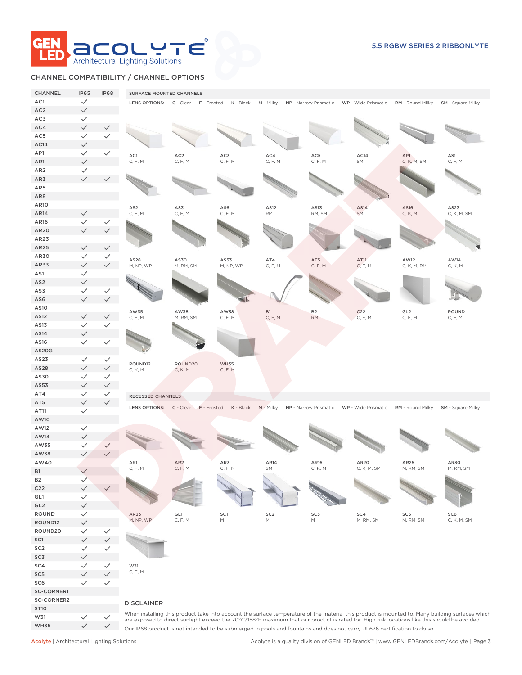

# CHANNEL COMPATIBILITY / CHANNEL OPTIONS

| <b>CHANNEL</b>  | <b>IP65</b>                  | <b>IP68</b>  | <b>SURFACE MOUNTED CHANNELS</b> |                                     |                                                                                                            |                 |                  |                                                                                                                                              |                  |                                                                                                                                                 |
|-----------------|------------------------------|--------------|---------------------------------|-------------------------------------|------------------------------------------------------------------------------------------------------------|-----------------|------------------|----------------------------------------------------------------------------------------------------------------------------------------------|------------------|-------------------------------------------------------------------------------------------------------------------------------------------------|
| AC1             | $\checkmark$                 |              |                                 | LENS OPTIONS: C - Clear F - Frosted | K - Black                                                                                                  |                 |                  | M - Milky NP - Narrow Prismatic WP - Wide Prismatic RM - Round Milky SM - Square Milky                                                       |                  |                                                                                                                                                 |
| AC <sub>2</sub> | $\checkmark$                 |              |                                 |                                     |                                                                                                            |                 |                  |                                                                                                                                              |                  |                                                                                                                                                 |
| AC3             | $\checkmark$                 |              |                                 |                                     |                                                                                                            |                 |                  |                                                                                                                                              |                  |                                                                                                                                                 |
| AC4             | $\checkmark$                 | ✓            |                                 |                                     |                                                                                                            |                 |                  |                                                                                                                                              |                  |                                                                                                                                                 |
| AC5             | $\checkmark$                 |              |                                 |                                     |                                                                                                            |                 |                  |                                                                                                                                              |                  |                                                                                                                                                 |
| AC14            | $\checkmark$                 |              |                                 |                                     |                                                                                                            |                 |                  |                                                                                                                                              |                  |                                                                                                                                                 |
| AP1             | $\checkmark$                 | $\checkmark$ | AC1                             | AC <sub>2</sub>                     | AC3                                                                                                        | AC4             | $AC5\,$          | AC14                                                                                                                                         | AP1              | AS1                                                                                                                                             |
| AR1             | $\checkmark$                 |              | C, F, M                         | C, F, M                             | C, F, M                                                                                                    | C, F, M         | C, F, M          | SM                                                                                                                                           | C, K, M, SM      | C, F, M                                                                                                                                         |
| AR <sub>2</sub> | $\checkmark$                 |              |                                 |                                     |                                                                                                            |                 |                  |                                                                                                                                              |                  |                                                                                                                                                 |
| AR3             | $\checkmark$                 |              |                                 |                                     |                                                                                                            |                 |                  |                                                                                                                                              |                  |                                                                                                                                                 |
| AR5             |                              |              |                                 |                                     |                                                                                                            |                 |                  |                                                                                                                                              |                  |                                                                                                                                                 |
| AR8             |                              |              |                                 |                                     |                                                                                                            |                 |                  |                                                                                                                                              |                  |                                                                                                                                                 |
| <b>AR10</b>     |                              |              | AS <sub>2</sub>                 | AS3                                 | AS6                                                                                                        | AS12            | AS13             | AS14                                                                                                                                         | AS16             | AS23                                                                                                                                            |
| AR14            | $\checkmark$                 |              | C, F, M                         | C, F, M                             | C, F, M                                                                                                    | <b>RM</b>       | RM, SM           | <b>SM</b>                                                                                                                                    | C, K, M          | C, K, M, SM                                                                                                                                     |
| AR16            | $\checkmark$                 |              |                                 |                                     |                                                                                                            |                 |                  |                                                                                                                                              |                  |                                                                                                                                                 |
| AR20            | $\checkmark$                 |              |                                 |                                     |                                                                                                            |                 |                  |                                                                                                                                              |                  |                                                                                                                                                 |
| AR23            |                              |              |                                 |                                     |                                                                                                            |                 |                  |                                                                                                                                              |                  |                                                                                                                                                 |
| AR25            | $\checkmark$                 | $\checkmark$ |                                 |                                     |                                                                                                            |                 |                  |                                                                                                                                              |                  |                                                                                                                                                 |
| AR30            | $\checkmark$                 | $\checkmark$ | AS28                            | AS30                                | AS53                                                                                                       | AT4             | AT5              | AT11                                                                                                                                         | AW12             | AW14                                                                                                                                            |
| AR33            | $\checkmark$                 | $\checkmark$ | M, NP, WP                       | M, RM, SM                           | M, NP, WP                                                                                                  | C, F, M         | C, F, M          | C, F, M                                                                                                                                      | C, K, M, RM      | C, K, M                                                                                                                                         |
| AS1             | $\checkmark$                 |              |                                 |                                     |                                                                                                            |                 |                  |                                                                                                                                              |                  |                                                                                                                                                 |
| AS <sub>2</sub> | $\checkmark$                 |              |                                 |                                     |                                                                                                            |                 |                  |                                                                                                                                              |                  |                                                                                                                                                 |
| AS3             | $\checkmark$                 | $\checkmark$ |                                 |                                     |                                                                                                            |                 |                  |                                                                                                                                              |                  |                                                                                                                                                 |
| AS6             | $\checkmark$                 | $\checkmark$ |                                 |                                     |                                                                                                            |                 |                  |                                                                                                                                              |                  |                                                                                                                                                 |
| AS10            |                              |              | AW35                            | AW38                                | AW38                                                                                                       | <b>B1</b>       | <b>B2</b>        | C <sub>22</sub>                                                                                                                              | GL <sub>2</sub>  | <b>ROUND</b>                                                                                                                                    |
| AS12            | $\checkmark$<br>$\checkmark$ |              | C, F, M                         | M, RM, SM                           | C, F, M                                                                                                    | C, F, M         | <b>RM</b>        | C, F, M                                                                                                                                      | C, F, M          | C, F, M                                                                                                                                         |
| AS13<br>AS14    | $\checkmark$                 |              |                                 |                                     |                                                                                                            |                 |                  |                                                                                                                                              |                  |                                                                                                                                                 |
| AS16            | $\checkmark$                 | $\checkmark$ |                                 |                                     |                                                                                                            |                 |                  |                                                                                                                                              |                  |                                                                                                                                                 |
| <b>AS20G</b>    |                              |              |                                 |                                     |                                                                                                            |                 |                  |                                                                                                                                              |                  |                                                                                                                                                 |
| AS23            | $\checkmark$                 | $\checkmark$ |                                 |                                     |                                                                                                            |                 |                  |                                                                                                                                              |                  |                                                                                                                                                 |
| AS28            | $\checkmark$                 | $\checkmark$ | ROUND12                         | ROUND20                             | <b>WH35</b>                                                                                                |                 |                  |                                                                                                                                              |                  |                                                                                                                                                 |
| AS30            | $\checkmark$                 | $\checkmark$ | C, K, M                         | C, K, M                             | C, F, M                                                                                                    |                 |                  |                                                                                                                                              |                  |                                                                                                                                                 |
| AS53            | $\checkmark$                 | $\checkmark$ |                                 |                                     |                                                                                                            |                 |                  |                                                                                                                                              |                  |                                                                                                                                                 |
| AT4             | $\checkmark$                 | $\checkmark$ |                                 |                                     |                                                                                                            |                 |                  |                                                                                                                                              |                  |                                                                                                                                                 |
| AT5             | $\checkmark$                 | $\checkmark$ | <b>RECESSED CHANNELS</b>        |                                     |                                                                                                            |                 |                  |                                                                                                                                              |                  |                                                                                                                                                 |
| AT11            | $\checkmark$                 |              |                                 | LENS OPTIONS: C - Clear F - Frosted | K - Black                                                                                                  | $M -$ Milky     |                  | NP - Narrow Prismatic WP - Wide Prismatic                                                                                                    | RM - Round Milky | <b>SM</b> - Square Milky                                                                                                                        |
| AW10            |                              |              |                                 |                                     |                                                                                                            |                 |                  |                                                                                                                                              |                  |                                                                                                                                                 |
| AW12            | $\checkmark$                 |              |                                 |                                     |                                                                                                            |                 |                  |                                                                                                                                              |                  |                                                                                                                                                 |
| AW14            | $\checkmark$                 |              |                                 |                                     |                                                                                                            |                 |                  |                                                                                                                                              |                  |                                                                                                                                                 |
| AW35            | $\checkmark$                 | $\checkmark$ |                                 |                                     |                                                                                                            |                 |                  |                                                                                                                                              |                  |                                                                                                                                                 |
| AW38            | $\checkmark$                 | $\checkmark$ |                                 |                                     |                                                                                                            |                 |                  |                                                                                                                                              |                  |                                                                                                                                                 |
| AW40            |                              |              | AR1                             | AR <sub>2</sub>                     | AR3                                                                                                        | AR14            | AR <sub>16</sub> | AR20                                                                                                                                         | AR25             | AR30                                                                                                                                            |
| <b>B1</b>       | $\checkmark$                 |              |                                 | C, F, M                             | C, F, M                                                                                                    |                 | C, K, M          | C, K, M, SM                                                                                                                                  | M, RM, SM        | M, RM, SM                                                                                                                                       |
| <b>B2</b>       | $\checkmark$                 |              |                                 |                                     |                                                                                                            |                 |                  |                                                                                                                                              |                  |                                                                                                                                                 |
| C <sub>22</sub> | $\checkmark$                 |              |                                 |                                     |                                                                                                            |                 |                  |                                                                                                                                              |                  |                                                                                                                                                 |
| GL1             | $\checkmark$                 |              |                                 |                                     |                                                                                                            |                 |                  |                                                                                                                                              |                  |                                                                                                                                                 |
| GL2             | $\checkmark$                 |              |                                 |                                     |                                                                                                            |                 |                  |                                                                                                                                              |                  |                                                                                                                                                 |
| ROUND           | $\checkmark$                 |              | AR33                            | GL1                                 | SC1                                                                                                        | SC <sub>2</sub> | SC3              | SC4                                                                                                                                          | SC5              | SC <sub>6</sub>                                                                                                                                 |
| ROUND12         | $\checkmark$                 |              | M, NP, WP                       | C, F, M                             | $\mathsf{M}% _{T}=\mathsf{M}_{T}\!\left( a,b\right) ,\ \mathsf{M}_{T}=\mathsf{M}_{T}\!\left( a,b\right) ,$ | М               | M                | M, RM, SM                                                                                                                                    | M, RM, SM        | C, K, M, SM                                                                                                                                     |
| ROUND20         | $\checkmark$                 | $\checkmark$ |                                 |                                     |                                                                                                            |                 |                  |                                                                                                                                              |                  |                                                                                                                                                 |
| SC1             | $\checkmark$                 | ✓            |                                 |                                     |                                                                                                            |                 |                  |                                                                                                                                              |                  |                                                                                                                                                 |
| SC <sub>2</sub> | $\checkmark$                 | $\checkmark$ |                                 |                                     |                                                                                                            |                 |                  |                                                                                                                                              |                  |                                                                                                                                                 |
| SC3             | $\checkmark$                 |              |                                 |                                     |                                                                                                            |                 |                  |                                                                                                                                              |                  |                                                                                                                                                 |
| SC4             | $\checkmark$                 |              | W31                             |                                     |                                                                                                            |                 |                  |                                                                                                                                              |                  |                                                                                                                                                 |
| SC <sub>5</sub> | $\checkmark$                 | $\checkmark$ | C, F, M                         |                                     |                                                                                                            |                 |                  |                                                                                                                                              |                  |                                                                                                                                                 |
| SC <sub>6</sub> | $\checkmark$                 | $\checkmark$ |                                 |                                     |                                                                                                            |                 |                  |                                                                                                                                              |                  |                                                                                                                                                 |
| SC-CORNER1      |                              |              |                                 |                                     |                                                                                                            |                 |                  |                                                                                                                                              |                  |                                                                                                                                                 |
| SC-CORNER2      |                              |              | <b>DISCLAIMER</b>               |                                     |                                                                                                            |                 |                  |                                                                                                                                              |                  |                                                                                                                                                 |
| <b>ST10</b>     |                              |              |                                 |                                     |                                                                                                            |                 |                  |                                                                                                                                              |                  | When installing this product take into account the surface temperature of the material this product is mounted to. Many building surfaces which |
| W31             | $\checkmark$                 | $\checkmark$ |                                 |                                     |                                                                                                            |                 |                  | are exposed to direct sunlight exceed the 70°C/158°F maximum that our product is rated for. High risk locations like this should be avoided. |                  |                                                                                                                                                 |
| <b>WH35</b>     | $\checkmark$                 | $\checkmark$ |                                 |                                     |                                                                                                            |                 |                  | Our IP68 product is not intended to be submerged in pools and fountains and does not carry UL676 certification to do so.                     |                  |                                                                                                                                                 |